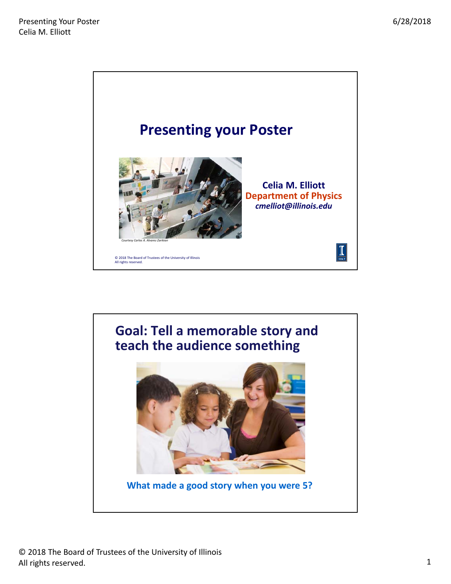

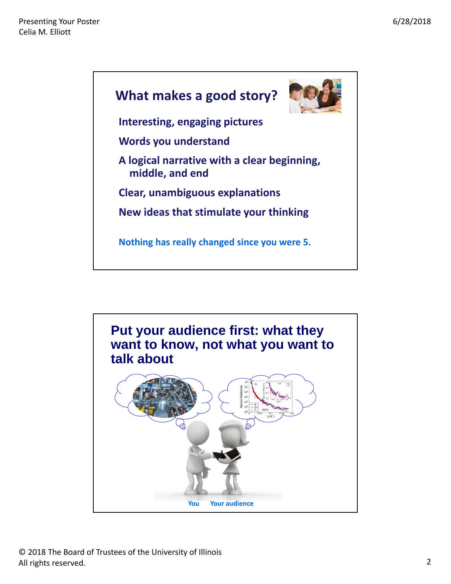

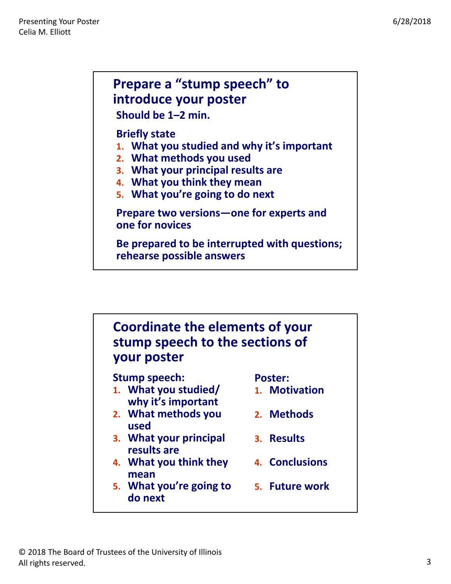## **Prepare a "stump speech" to introduce your poster**

**Should be 1–2 min.**

## **Briefly state**

- **1. What you studied and why it's important**
- **2. What methods you used**
- **3. What your principal results are**
- **4. What you think they mean**
- **5. What you're going to do next**

**Prepare two versions—one for experts and one for novices**

**Be prepared to be interrupted with questions; rehearse possible answers**

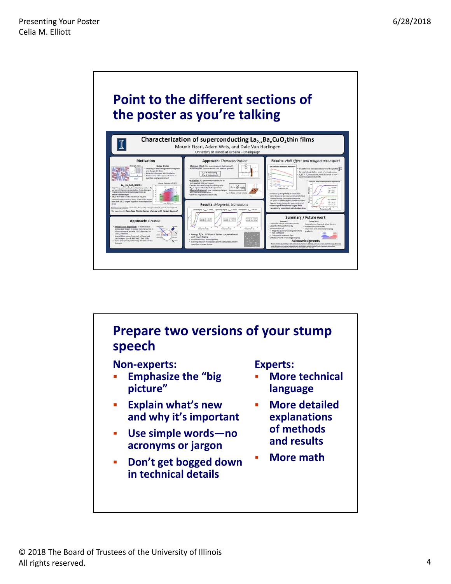



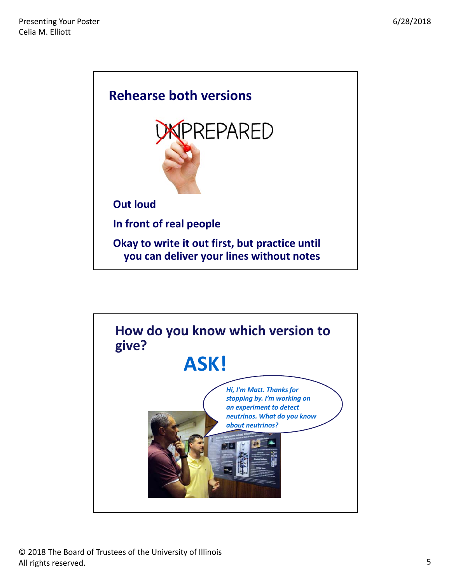

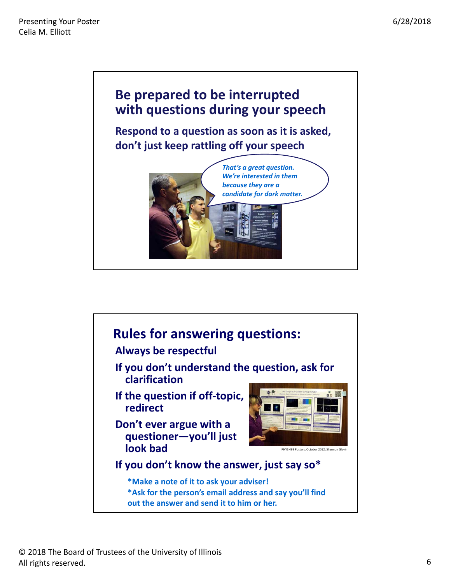

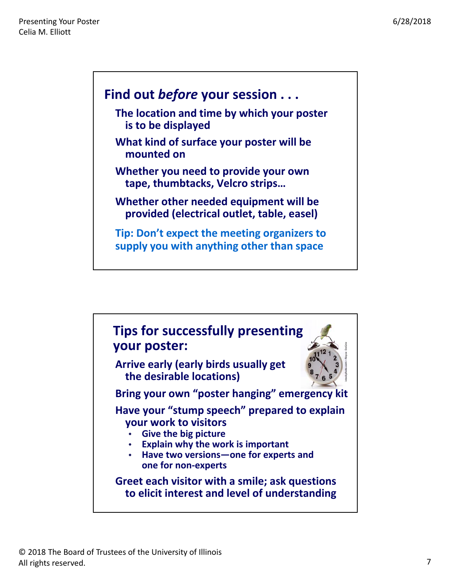## **Find out** *before* **your session . . .**

- **The location and time by which your poster is to be displayed**
- **What kind of surface your poster will be mounted on**
- **Whether you need to provide your own tape, thumbtacks, Velcro strips…**
- **Whether other needed equipment will be provided (electrical outlet, table, easel)**

**Tip: Don't expect the meeting organizers to supply you with anything other than space**

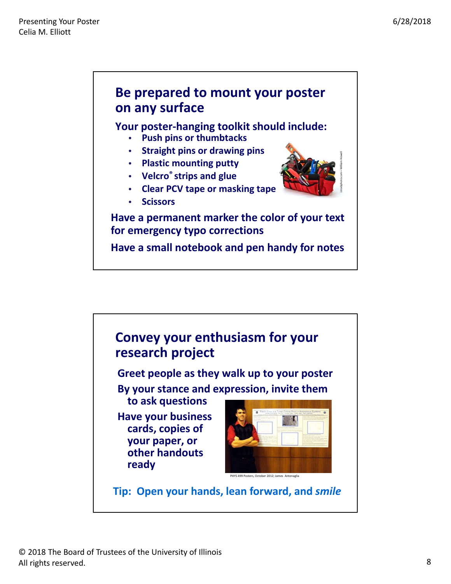



© 2018 The Board of Trustees of the University of Illinois All rights reserved.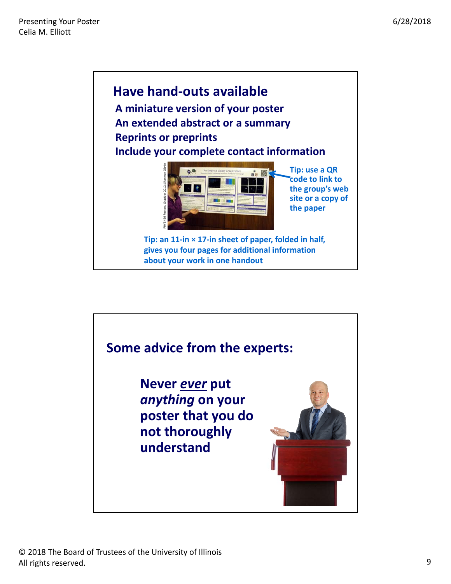